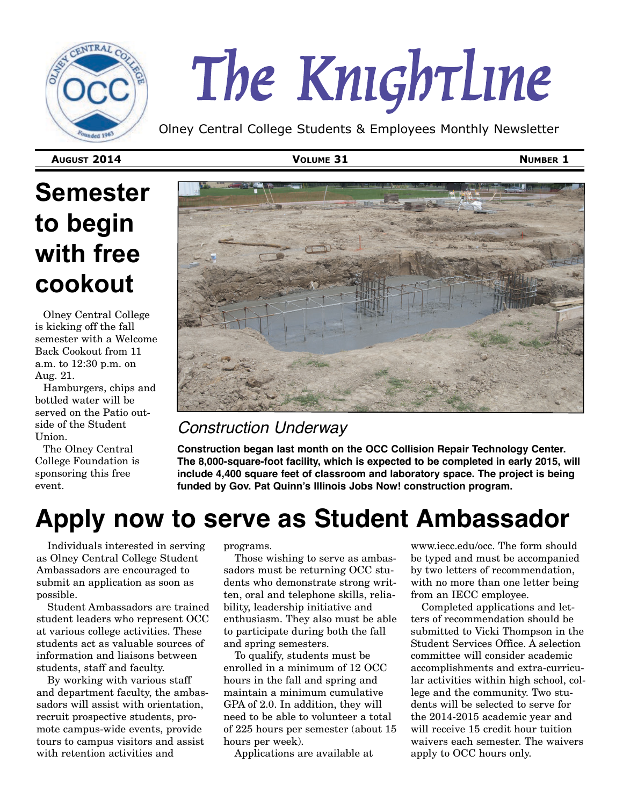

# *The Knightline*

Olney Central College Students & Employees Monthly Newsletter

**AUGUST 2014 VOLUME 31 NUMBER 1**

## **Semester to begin with free cookout**

Olney Central College is kicking off the fall semester with a Welcome Back Cookout from 11 a.m. to 12:30 p.m. on Aug. 21.

Hamburgers, chips and bottled water will be served on the Patio outside of the Student Union.

The Olney Central College Foundation is sponsoring this free event.



#### *Construction Underway*

**Construction began last month on the OCC Collision Repair Technology Center. The 8,000-square-foot facility, which is expected to be completed in early 2015, will include 4,400 square feet of classroom and laboratory space. The project is being funded by Gov. Pat Quinn's Illinois Jobs Now! construction program.**

## **Apply now to serve as Student Ambassador**

Individuals interested in serving as Olney Central College Student Ambassadors are encouraged to submit an application as soon as possible.

Student Ambassadors are trained student leaders who represent OCC at various college activities. These students act as valuable sources of information and liaisons between students, staff and faculty.

By working with various staff and department faculty, the ambassadors will assist with orientation, recruit prospective students, promote campus-wide events, provide tours to campus visitors and assist with retention activities and

programs.

Those wishing to serve as ambassadors must be returning OCC students who demonstrate strong written, oral and telephone skills, reliability, leadership initiative and enthusiasm. They also must be able to participate during both the fall and spring semesters.

To qualify, students must be enrolled in a minimum of 12 OCC hours in the fall and spring and maintain a minimum cumulative GPA of 2.0. In addition, they will need to be able to volunteer a total of 225 hours per semester (about 15 hours per week).

Applications are available at

www.iecc.edu/occ. The form should be typed and must be accompanied by two letters of recommendation, with no more than one letter being from an IECC employee.

Completed applications and letters of recommendation should be submitted to Vicki Thompson in the Student Services Office. A selection committee will consider academic accomplishments and extra-curricular activities within high school, college and the community. Two students will be selected to serve for the 2014-2015 academic year and will receive 15 credit hour tuition waivers each semester. The waivers apply to OCC hours only.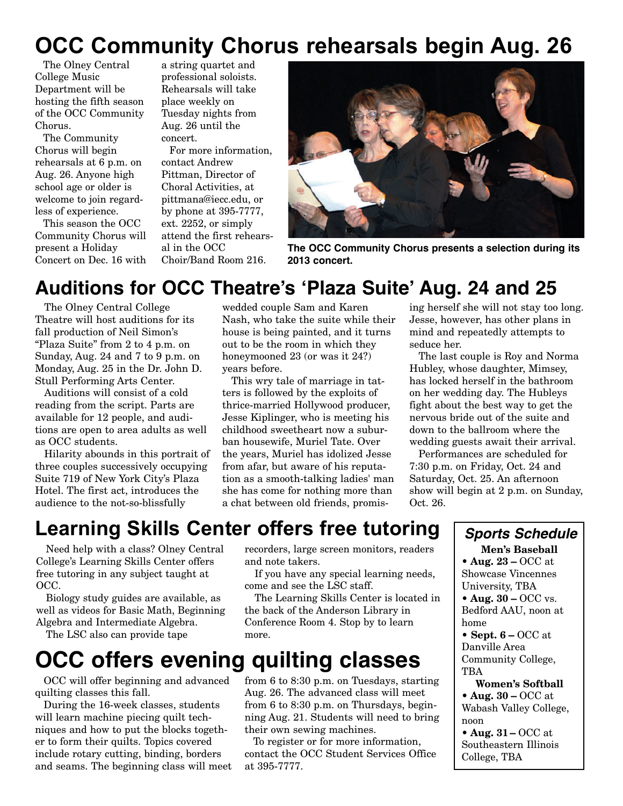## **OCC Community Chorus rehearsals begin Aug. 26**

The Olney Central College Music Department will be hosting the fifth season of the OCC Community Chorus.

The Community Chorus will begin rehearsals at 6 p.m. on Aug. 26. Anyone high school age or older is welcome to join regardless of experience.

This season the OCC Community Chorus will present a Holiday Concert on Dec. 16 with

a string quartet and professional soloists. Rehearsals will take place weekly on Tuesday nights from Aug. 26 until the concert.

For more information, contact Andrew Pittman, Director of Choral Activities, at pittmana@iecc.edu, or by phone at 395-7777, ext. 2252, or simply attend the first rehearsal in the OCC Choir/Band Room 216.



**The OCC Community Chorus presents a selection during its 2013 concert.**

## **Auditions for OCC Theatre's 'Plaza Suite' Aug. 24 and 25**

The Olney Central College Theatre will host auditions for its fall production of Neil Simon's "Plaza Suite" from 2 to 4 p.m. on Sunday, Aug. 24 and 7 to 9 p.m. on Monday, Aug. 25 in the Dr. John D. Stull Performing Arts Center.

Auditions will consist of a cold reading from the script. Parts are available for 12 people, and auditions are open to area adults as well as OCC students.

Hilarity abounds in this portrait of three couples successively occupying Suite 719 of New York City's Plaza Hotel. The first act, introduces the audience to the not-so-blissfully

wedded couple Sam and Karen Nash, who take the suite while their house is being painted, and it turns out to be the room in which they honeymooned 23 (or was it 24?) years before.

This wry tale of marriage in tatters is followed by the exploits of thrice-married Hollywood producer, Jesse Kiplinger, who is meeting his childhood sweetheart now a suburban housewife, Muriel Tate. Over the years, Muriel has idolized Jesse from afar, but aware of his reputation as a smooth-talking ladies' man she has come for nothing more than a chat between old friends, promising herself she will not stay too long. Jesse, however, has other plans in mind and repeatedly attempts to seduce her.

The last couple is Roy and Norma Hubley, whose daughter, Mimsey, has locked herself in the bathroom on her wedding day. The Hubleys fight about the best way to get the nervous bride out of the suite and down to the ballroom where the wedding guests await their arrival.

Performances are scheduled for 7:30 p.m. on Friday, Oct. 24 and Saturday, Oct. 25. An afternoon show will begin at 2 p.m. on Sunday, Oct. 26.

## **Learning Skills Center offers free tutoring**

Need help with a class? Olney Central College's Learning Skills Center offers free tutoring in any subject taught at OCC.

Biology study guides are available, as well as videos for Basic Math, Beginning Algebra and Intermediate Algebra.

The LSC also can provide tape

## **OCC offers evening quilting classes**

OCC will offer beginning and advanced quilting classes this fall.

During the 16-week classes, students will learn machine piecing quilt techniques and how to put the blocks together to form their quilts. Topics covered include rotary cutting, binding, borders and seams. The beginning class will meet recorders, large screen monitors, readers and note takers.

If you have any special learning needs, come and see the LSC staff.

The Learning Skills Center is located in the back of the Anderson Library in Conference Room 4. Stop by to learn more.

from 6 to 8:30 p.m. on Tuesdays, starting Aug. 26. The advanced class will meet from 6 to 8:30 p.m. on Thursdays, beginning Aug. 21. Students will need to bring

To register or for more information, contact the OCC Student Services Office

their own sewing machines.

at 395-7777.

#### *Sports Schedule*

**Men's Baseball • Aug. 23 –** OCC at Showcase Vincennes University, TBA

- **Aug. 30 OCC vs.** Bedford AAU, noon at home
- **Sept. 6** OCC at Danville Area Community College, TBA

**Women's Softball • Aug. 30 –** OCC at Wabash Valley College, noon

**• Aug. 31 –** OCC at Southeastern Illinois College, TBA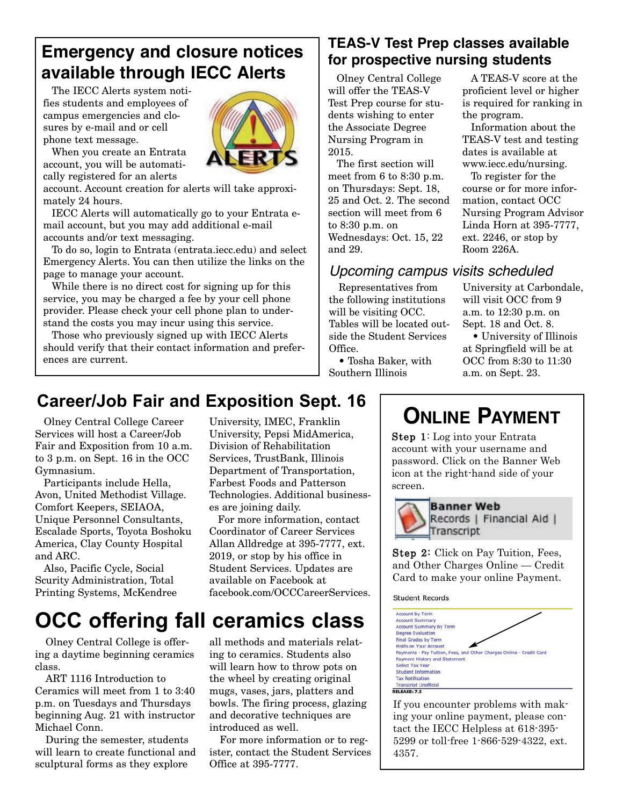## **Emergency and closure notices available through IECC Alerts**

The IECC Alerts system notifies students and employees of campus emergencies and closures by e-mail and or cell phone text message.



When you create an Entrata account, you will be automatically registered for an alerts

account. Account creation for alerts will take approximately 24 hours.

IECC Alerts will automatically go to your Entrata email account, but you may add additional e-mail accounts and/or text messaging.

To do so, login to Entrata (entrata.iecc.edu) and select Emergency Alerts. You can then utilize the links on the page to manage your account.

While there is no direct cost for signing up for this service, you may be charged a fee by your cell phone provider. Please check your cell phone plan to understand the costs you may incur using this service.

Those who previously signed up with IECC Alerts should verify that their contact information and preferences are current.

#### **TEAS-V Test Prep classes available for prospective nursing students**

Olney Central College will offer the TEAS-V Test Prep course for students wishing to enter the Associate Degree Nursing Program in 2015.

The first section will meet from 6 to 8:30 p.m. on Thursdays: Sept. 18, 25 and Oct. 2. The second section will meet from 6 to 8:30 p.m. on Wednesdays: Oct. 15, 22 and 29.

#### *Upcoming campus visits scheduled*

Representatives from the following institutions will be visiting OCC. Tables will be located outside the Student Services Office.

• Tosha Baker, with

Southern Illinois

University at Carbondale, will visit OCC from 9 a.m. to 12:30 p.m. on Sept. 18 and Oct. 8. • University of Illinois

A TEAS-V score at the proficient level or higher is required for ranking in

Information about the TEAS-V test and testing dates is available at www.iecc.edu/nursing. To register for the course or for more information, contact OCC Nursing Program Advisor Linda Horn at 395-7777, ext. 2246, or stop by

the program.

Room 226A.

at Springfield will be at OCC from 8:30 to 11:30 a.m. on Sept. 23.

## **Career/Job Fair and Exposition Sept. 16**

Olney Central College Career Services will host a Career/Job Fair and Exposition from 10 a.m. to 3 p.m. on Sept. 16 in the OCC Gymnasium.

Participants include Hella, Avon, United Methodist Village. Comfort Keepers, SEIAOA, Unique Personnel Consultants, Escalade Sports, Toyota Boshoku America, Clay County Hospital and ARC.

Also, Pacific Cycle, Social Scurity Administration, Total Printing Systems, McKendree

University, IMEC, Franklin University, Pepsi MidAmerica, Division of Rehabilitation Services, TrustBank, Illinois Department of Transportation, Farbest Foods and Patterson Technologies. Additional businesses are joining daily.

For more information, contact Coordinator of Career Services Allan Alldredge at 395-7777, ext. 2019, or stop by his office in Student Services. Updates are available on Facebook at facebook.com/OCCCareerServices.

## **OCC offering fall ceramics class**

Olney Central College is offering a daytime beginning ceramics class.

ART 1116 Introduction to Ceramics will meet from 1 to 3:40 p.m. on Tuesdays and Thursdays beginning Aug. 21 with instructor Michael Conn.

During the semester, students will learn to create functional and sculptural forms as they explore

all methods and materials relating to ceramics. Students also will learn how to throw pots on the wheel by creating original mugs, vases, jars, platters and bowls. The firing process, glazing and decorative techniques are introduced as well.

For more information or to register, contact the Student Services Office at 395-7777.

## **ONLINE PAYMENT**

Step 1: Log into your Entrata account with your username and password. Click on the Banner Web icon at the right-hand side of your screen.



**Banner Web** Records | Financial Aid | Transcript

Step 2: Click on Pay Tuition, Fees, and Other Charges Online — Credit Card to make your online Payment.

**Student Records** 



If you encounter problems with making your online payment, please contact the IECC Helpless at 618-395- 5299 or toll-free 1-866-529-4322, ext. 4357.